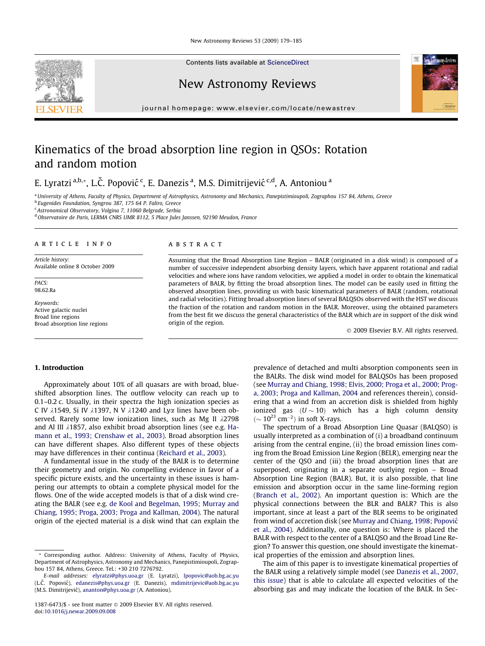Contents lists available at [ScienceDirect](http://www.sciencedirect.com/science/journal/13876473)

## New Astronomy Reviews

journal homepage: [www.elsevier.com/locate/newastrev](http://www.elsevier.com/locate/newastrev)

# Kinematics of the broad absorption line region in QSOs: Rotation and random motion

E. Lyratzi <sup>a,b,</sup>\*, L.Č. Popović <sup>c</sup>, E. Danezis <sup>a</sup>, M.S. Dimitrijević <sup>c,d</sup>, A. Antoniou <sup>a</sup>

a University of Athens, Faculty of Physics, Department of Astrophysics, Astronomy and Mechanics, Panepistimioupoli, Zographou 157 84, Athens, Greece <sup>b</sup> Eugenides Foundation, Syngrou 387, 175 64 P. Faliro, Greece

<sup>c</sup> Astronomical Observatory, Volgina 7, 11060 Belgrade, Serbia

<sup>d</sup> Observatoire de Paris, LERMA CNRS UMR 8112, 5 Place Jules Janssen, 92190 Meudon, France

#### article info

Article history: Available online 8 October 2009

PACS: 98.62.Ra

Keywords: Active galactic nuclei Broad line regions Broad absorption line regions

#### **ABSTRACT**

Assuming that the Broad Absorption Line Region – BALR (originated in a disk wind) is composed of a number of successive independent absorbing density layers, which have apparent rotational and radial velocities and where ions have random velocities, we applied a model in order to obtain the kinematical parameters of BALR, by fitting the broad absorption lines. The model can be easily used in fitting the observed absorption lines, providing us with basic kinematical parameters of BALR (random, rotational and radial velocities). Fitting broad absorption lines of several BALQSOs observed with the HST we discuss the fraction of the rotation and random motion in the BALR. Moreover, using the obtained parameters from the best fit we discuss the general characteristics of the BALR which are in support of the disk wind origin of the region.

- 2009 Elsevier B.V. All rights reserved.

#### 1. Introduction

Approximately about 10% of all quasars are with broad, blueshifted absorption lines. The outflow velocity can reach up to 0.1–0.2 c. Usually, in their spectra the high ionization species as C IV  $\lambda$ 1549, Si IV  $\lambda$ 1397, N V  $\lambda$ 1240 and Ly $\alpha$  lines have been observed. Rarely some low ionization lines, such as Mg II  $\lambda$ 2798 and Al III  $\lambda$ 1857, also exhibit broad absorption lines (see e.g. [Ha](#page-6-0)[mann et al., 1993; Crenshaw et al., 2003](#page-6-0)). Broad absorption lines can have different shapes. Also different types of these objects may have differences in their continua ([Reichard et al., 2003](#page-6-0)).

A fundamental issue in the study of the BALR is to determine their geometry and origin. No compelling evidence in favor of a specific picture exists, and the uncertainty in these issues is hampering our attempts to obtain a complete physical model for the flows. One of the wide accepted models is that of a disk wind creating the BALR (see e.g. [de Kool and Begelman, 1995; Murray and](#page-6-0) [Chiang, 1995; Proga, 2003; Proga and Kallman, 2004](#page-6-0)). The natural origin of the ejected material is a disk wind that can explain the prevalence of detached and multi absorption components seen in the BALRs. The disk wind model for BALQSOs has been proposed (see [Murray and Chiang, 1998; Elvis, 2000; Proga et al., 2000; Prog](#page-6-0)[a, 2003; Proga and Kallman, 2004](#page-6-0) and references therein), considering that a wind from an accretion disk is shielded from highly ionized gas  $(U \sim 10)$  which has a high column density  $({\sim 10^{23} \text{ cm}^{-2}})$  in soft X-rays.

The spectrum of a Broad Absorption Line Quasar (BALQSO) is usually interpreted as a combination of (i) a broadband continuum arising from the central engine, (ii) the broad emission lines coming from the Broad Emission Line Region (BELR), emerging near the center of the QSO and (iii) the broad absorption lines that are superposed, originating in a separate outlying region – Broad Absorption Line Region (BALR). But, it is also possible, that line emission and absorption occur in the same line-forming region ([Branch et al., 2002\)](#page-6-0). An important question is: Which are the physical connections between the BLR and BALR? This is also important, since at least a part of the BLR seems to be originated from wind of accretion disk (see [Murray and Chiang, 1998; Popovic´](#page-6-0) [et al., 2004\)](#page-6-0). Additionally, one question is: Where is placed the BALR with respect to the center of a BALQSO and the Broad Line Region? To answer this question, one should investigate the kinematical properties of the emission and absorption lines.

The aim of this paper is to investigate kinematical properties of the BALR using a relatively simple model (see [Danezis et al., 2007,](#page-6-0) [this issue](#page-6-0)) that is able to calculate all expected velocities of the absorbing gas and may indicate the location of the BALR. In Sec-





<sup>\*</sup> Corresponding author. Address: University of Athens, Faculty of Physics, Department of Astrophysics, Astronomy and Mechanics, Panepistimioupoli, Zographou 157 84, Athens, Greece. Tel.: +30 210 7276792.

E-mail addresses: [elyratzi@phys.uoa.gr](mailto:elyratzi@phys.uoa.gr) (E. Lyratzi), [lpopovic@aob.bg.ac.yu](mailto:lpopovic@aob.bg.ac.yu) (L.Č. Popović), [edanezis@phys.uoa.gr](mailto:edanezis@phys.uoa.gr) (E. Danezis), [mdimitrijevic@aob.bg.ac.yu](mailto:mdimitrijevic@aob.bg.ac.yu) (M.S. Dimitrijevic´), [ananton@phys.uoa.gr](mailto:ananton@phys.uoa.gr) (A. Antoniou).

<sup>1387-6473/\$ -</sup> see front matter @ 2009 Elsevier B.V. All rights reserved. doi[:10.1016/j.newar.2009.09.008](http://dx.doi.org/10.1016/j.newar.2009.09.008)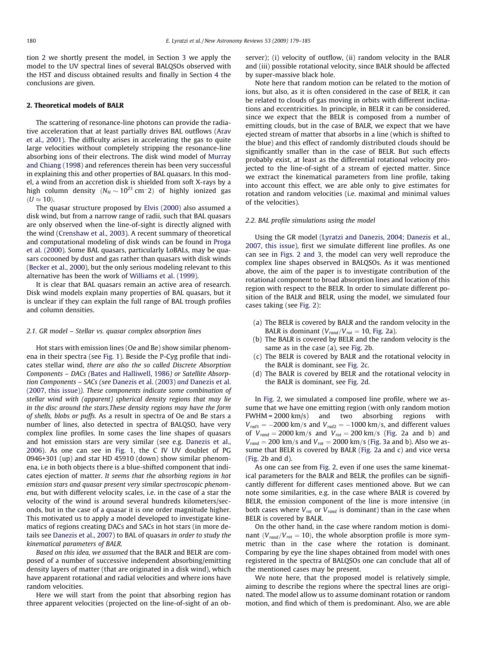tion 2 we shortly present the model, in Section [3](#page-3-0) we apply the model to the UV spectral lines of several BALQSOs observed with the HST and discuss obtained results and finally in Section [4](#page-5-0) the conclusions are given.

### 2. Theoretical models of BALR

The scattering of resonance-line photons can provide the radiative acceleration that at least partially drives BAL outflows [\(Arav](#page-6-0) [et al., 2001\)](#page-6-0). The difficulty arises in accelerating the gas to quite large velocities without completely stripping the resonance-line absorbing ions of their electrons. The disk wind model of [Murray](#page-6-0) [and Chiang \(1998\)](#page-6-0) and references therein has been very successful in explaining this and other properties of BAL quasars. In this model, a wind from an accretion disk is shielded from soft X-rays by a high column density  $(N_H\sim 10^{23}~{\rm cm}^{-2})$  of highly ionized gas  $(U \approx 10)$ .

The quasar structure proposed by [Elvis \(2000\)](#page-6-0) also assumed a disk wind, but from a narrow range of radii, such that BAL quasars are only observed when the line-of-sight is directly aligned with the wind [\(Crenshaw et al., 2003\)](#page-6-0). A recent summary of theoretical and computational modeling of disk winds can be found in [Proga](#page-6-0) [et al. \(2000\)](#page-6-0). Some BAL quasars, particularly LoBALs, may be quasars cocooned by dust and gas rather than quasars with disk winds ([Becker et al., 2000](#page-6-0)), but the only serious modeling relevant to this alternative has been the work of [Williams et al. \(1999\)](#page-6-0).

It is clear that BAL quasars remain an active area of research. Disk wind models explain many properties of BAL quasars, but it is unclear if they can explain the full range of BAL trough profiles and column densities.

#### 2.1. GR model – Stellar vs. quasar complex absorption lines

Hot stars with emission lines (Oe and Be) show similar phenomena in their spectra (see [Fig. 1](#page-2-0)). Beside the P-Cyg profile that indicates stellar wind, there are also the so called Discrete Absorption Components – DACs ([Bates and Halliwell, 1986](#page-6-0)) or Satellite Absorption Components – SACs (see [Danezis et al. \(2003\)](#page-6-0) and Danezis et al. [\(2007, this issue\)](#page-6-0)). These components indicate some combination of stellar wind with (apparent) spherical density regions that may lie in the disc around the stars.These density regions may have the form of shells, blobs or puffs. As a result in spectra of Oe and Be stars a number of lines, also detected in spectra of BALQSO, have very complex line profiles. In some cases the line shapes of quasars and hot emission stars are very similar (see e.g. [Danezis et al.,](#page-6-0) [2006\)](#page-6-0). As one can see in [Fig. 1](#page-2-0), the C IV UV doublet of PG 0946+301 (up) and star HD 45910 (down) show similar phenomena, i.e in both objects there is a blue-shifted component that indicates ejection of matter. It seems that the absorbing regions in hot emission stars and quasar present very similar spectroscopic phenomena, but with different velocity scales, i.e. in the case of a star the velocity of the wind is around several hundreds kilometers/seconds, but in the case of a quasar it is one order magnitude higher. This motivated us to apply a model developed to investigate kinematics of regions creating DACs and SACs in hot stars (in more details see [Danezis et al., 2007](#page-6-0)) to BAL of quasars in order to study the kinematical parameters of BALR.

Based on this idea, we assumed that the BALR and BELR are composed of a number of successive independent absorbing/emitting density layers of matter (that are originated in a disk wind), which have apparent rotational and radial velocities and where ions have random velocities.

Here we will start from the point that absorbing region has three apparent velocities (projected on the line-of-sight of an observer); (i) velocity of outflow, (ii) random velocity in the BALR and (iii) possible rotational velocity, since BALR should be affected by super-massive black hole.

Note here that random motion can be related to the motion of ions, but also, as it is often considered in the case of BELR, it can be related to clouds of gas moving in orbits with different inclinations and eccentricities. In principle, in BELR it can be considered, since we expect that the BELR is composed from a number of emitting clouds, but in the case of BALR, we expect that we have ejected stream of matter that absorbs in a line (which is shifted to the blue) and this effect of randomly distributed clouds should be significantly smaller than in the case of BELR. But such effects probably exist, at least as the differential rotational velocity projected to the line-of-sight of a stream of ejected matter. Since we extract the kinematical parameters from line profile, taking into account this effect, we are able only to give estimates for rotation and random velocities (i.e. maximal and minimal values of the velocities).

#### 2.2. BAL profile simulations using the model

Using the GR model ([Lyratzi and Danezis, 2004; Danezis et al.,](#page-6-0) [2007, this issue](#page-6-0)), first we simulate different line profiles. As one can see in [Figs. 2 and 3,](#page-3-0) the model can very well reproduce the complex line shapes observed in BALQSOs. As it was mentioned above, the aim of the paper is to investigate contribution of the rotational component to broad absorption lines and location of this region with respect to the BELR. In order to simulate different position of the BALR and BELR, using the model, we simulated four cases taking (see [Fig. 2\)](#page-3-0):

- (a) The BELR is covered by BALR and the random velocity in the BALR is dominant  $(V_{rand}/V_{rot} = 10$ , [Fig. 2](#page-3-0)a).
- (b) The BALR is covered by BELR and the random velocity is the same as in the case (a), see [Fig. 2](#page-3-0)b.
- (c) The BELR is covered by BALR and the rotational velocity in the BALR is dominant, see [Fig. 2c](#page-3-0).
- (d) The BALR is covered by BELR and the rotational velocity in the BALR is dominant, see [Fig. 2d](#page-3-0).

In [Fig. 2,](#page-3-0) we simulated a composed line profile, where we assume that we have one emitting region (with only random motion FWHM = 2000 km/s) and two absorbing regions with  $V_{rad1} = -2000$  km/s and  $V_{rad2} = -1000$  km/s, and different values of  $V_{rand} = 2000 \text{ km/s}$  and  $V_{rot} = 200 \text{ km/s}$  ([Fig. 2a](#page-3-0) and b) and  $V_{rand} = 200 \text{ km/s}$  and  $V_{rot} = 2000 \text{ km/s}$  ([Fig. 3a](#page-4-0) and b). Also we assume that BELR is covered by BALR ([Fig. 2](#page-3-0)a and c) and vice versa ([Fig. 2](#page-3-0)b and d).

As one can see from [Fig. 2](#page-3-0), even if one uses the same kinematical parameters for the BALR and BELR, the profiles can be significantly different for different cases mentioned above. But we can note some similarities, e.g. in the case where BALR is covered by BELR, the emission component of the line is more intensive (in both cases where  $V_{rot}$  or  $V_{rand}$  is dominant) than in the case when BELR is covered by BALR.

On the other hand, in the case where random motion is dominant ( $V_{rand}/V_{rot} = 10$ ), the whole absorption profile is more symmetric than in the case where the rotation is dominant. Comparing by eye the line shapes obtained from model with ones registered in the spectra of BALQSOs one can conclude that all of the mentioned cases may be present.

We note here, that the proposed model is relatively simple, aiming to describe the regions where the spectral lines are originated. The model allow us to assume dominant rotation or random motion, and find which of them is predominant. Also, we are able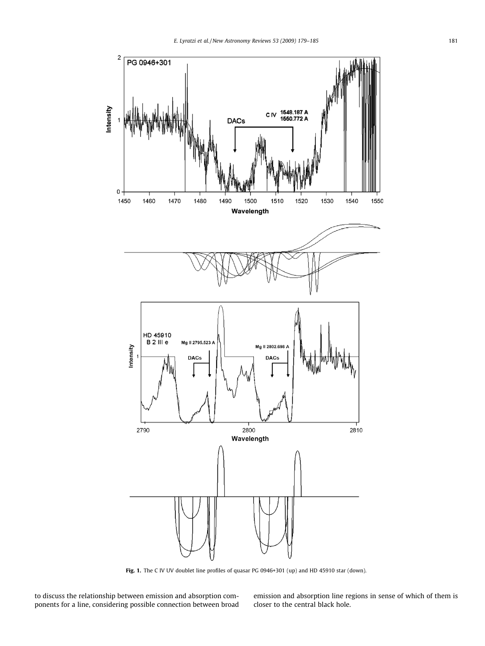<span id="page-2-0"></span>

Fig. 1. The C IV UV doublet line profiles of quasar PG 0946+301 (up) and HD 45910 star (down).

to discuss the relationship between emission and absorption components for a line, considering possible connection between broad

emission and absorption line regions in sense of which of them is closer to the central black hole.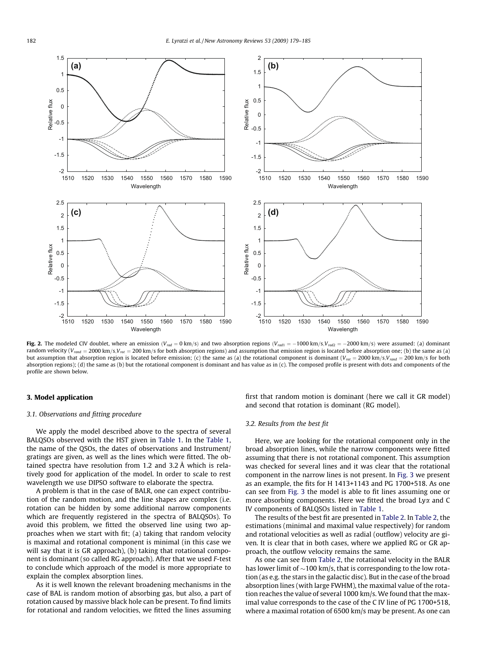<span id="page-3-0"></span>

Fig. 2. The modeled CIV doublet, where an emission ( $V_{rad} = 0$  km/s) and two absorption regions ( $V_{rad1} = -1000$  km/s, $V_{rad2} = -2000$  km/s) were assumed: (a) dominant random velocity ( $V_{rand} = 2000 \text{ km/s}, V_{rot} = 200 \text{ km/s}$  for both absorption regions) and assumption that emission region is located before absorption one; (b) the same as (a) but assumption that absorption region is located before emission; (c) the same as (a) the rotational component is dominant ( $V_{rot} = 2000$  km/s,  $V_{rand} = 200$  km/s for both absorption regions); (d) the same as (b) but the rotational component is dominant and has value as in (c). The composed profile is present with dots and components of the profile are shown below.

#### 3. Model application

#### 3.1. Observations and fitting procedure

We apply the model described above to the spectra of several BALQSOs observed with the HST given in [Table 1.](#page-4-0) In the [Table 1,](#page-4-0) the name of the QSOs, the dates of observations and Instrument/ gratings are given, as well as the lines which were fitted. The obtained spectra have resolution from 1.2 and 3.2 Å which is relatively good for application of the model. In order to scale to rest wavelength we use DIPSO software to elaborate the spectra.

A problem is that in the case of BALR, one can expect contribution of the random motion, and the line shapes are complex (i.e. rotation can be hidden by some additional narrow components which are frequently registered in the spectra of BALQSOs). To avoid this problem, we fitted the observed line using two approaches when we start with fit; (a) taking that random velocity is maximal and rotational component is minimal (in this case we will say that it is GR approach), (b) taking that rotational component is dominant (so called RG approach). After that we used F-test to conclude which approach of the model is more appropriate to explain the complex absorption lines.

As it is well known the relevant broadening mechanisms in the case of BAL is random motion of absorbing gas, but also, a part of rotation caused by massive black hole can be present. To find limits for rotational and random velocities, we fitted the lines assuming first that random motion is dominant (here we call it GR model) and second that rotation is dominant (RG model).

#### 3.2. Results from the best fit

Here, we are looking for the rotational component only in the broad absorption lines, while the narrow components were fitted assuming that there is not rotational component. This assumption was checked for several lines and it was clear that the rotational component in the narrow lines is not present. In [Fig. 3](#page-4-0) we present as an example, the fits for H 1413+1143 and PG 1700+518. As one can see from [Fig. 3](#page-4-0) the model is able to fit lines assuming one or more absorbing components. Here we fitted the broad Ly $\alpha$  and C IV components of BALQSOs listed in [Table 1](#page-4-0).

The results of the best fit are presented in [Table 2.](#page-5-0) In [Table 2,](#page-5-0) the estimations (minimal and maximal value respectively) for random and rotational velocities as well as radial (outflow) velocity are given. It is clear that in both cases, where we applied RG or GR approach, the outflow velocity remains the same.

As one can see from [Table 2,](#page-5-0) the rotational velocity in the BALR has lower limit of  $\sim$ 100 km/s, that is corresponding to the low rotation (as e.g. the stars in the galactic disc). But in the case of the broad absorption lines (with large FWHM), the maximal value of the rotation reaches the value of several 1000 km/s. We found that the maximal value corresponds to the case of the C IV line of PG 1700+518, where a maximal rotation of 6500 km/s may be present. As one can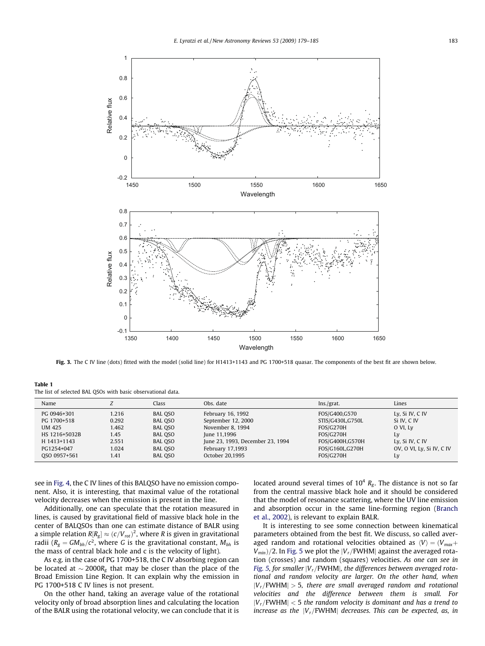<span id="page-4-0"></span>

Fig. 3. The C IV line (dots) fitted with the model (solid line) for H1413+1143 and PG 1700+518 quasar. The components of the best fit are shown below.

Table 1 The list of selected BAL QSOs with basic observational data.

| Name          |       | Class          | Obs. date                        | Ins./grat.       | Lines                     |
|---------------|-------|----------------|----------------------------------|------------------|---------------------------|
| PG 0946+301   | 1.216 | BAL QSO        | February 16, 1992                | FOS/G400,G570    | Ly, Si IV, C IV           |
| PG 1700+518   | 0.292 | BAL QSO        | September 12, 2000               | STIS/G430L,G750L | Si IV, C IV               |
| UM 425        | 1.462 | <b>BAL QSO</b> | November 8, 1994                 | FOS/G270H        | O VI, Ly                  |
| HS 1216+5032B | 1.45  | BAL QSO        | June 11,1996                     | FOS/G270H        | Ly                        |
| H 1413+1143   | 2.551 | <b>BAL QSO</b> | June 23, 1993, December 23, 1994 | FOS/G400H.G570H  | Ly, Si IV, C IV           |
| PG1254+047    | 1.024 | <b>BAL QSO</b> | February 17,1993                 | FOS/G160LG270H   | OV, O VI, Ly, Si IV, C IV |
| OSO 0957+561  | 1.41  | BAL QSO        | October 20.1995                  | <b>FOS/G270H</b> | Ly                        |

see in [Fig. 4,](#page-5-0) the C IV lines of this BALQSO have no emission component. Also, it is interesting, that maximal value of the rotational velocity decreases when the emission is present in the line.

Additionally, one can speculate that the rotation measured in lines, is caused by gravitational field of massive black hole in the center of BALQSOs than one can estimate distance of BALR using a simple relation  $R[R_g] \approx (c/V_{rot})^2$ , where R is given in gravitational radii ( $R_g = GM_{bh}/c^2$ , where G is the gravitational constant,  $M_{bh}$  is the mass of central black hole and c is the velocity of light).

As e.g. in the case of PG 1700+518, the C IV absorbing region can be located at  $\sim$  2000 $R_{\rm g}$  that may be closer than the place of the Broad Emission Line Region. It can explain why the emission in PG 1700+518 C IV lines is not present.

On the other hand, taking an average value of the rotational velocity only of broad absorption lines and calculating the location of the BALR using the rotational velocity, we can conclude that it is located around several times of  $10^4$   $R_g$ . The distance is not so far from the central massive black hole and it should be considered that the model of resonance scattering, where the UV line emission and absorption occur in the same line-forming region [\(Branch](#page-6-0) [et al., 2002\)](#page-6-0), is relevant to explain BALR.

It is interesting to see some connection between kinematical parameters obtained from the best fit. We discuss, so called averaged random and rotational velocities obtained as  $\langle V \rangle = \langle V_{max} +$  $V_{min}$ /2. In [Fig. 5](#page-5-0) we plot the  $|V_r$ /FWHM| against the averaged rotation (crosses) and random (squares) velocities. As one can see in [Fig. 5,](#page-5-0) for smaller  $|V_r/FWHM|$ , the differences between averaged rotational and random velocity are larger. On the other hand, when  $|V_r/FWHM| > 5$ , there are small averaged random and rotational velocities and the difference between them is small. For  $|V_r/\text{FWHM}| < 5$  the random velocity is dominant and has a trend to increase as the  $|V_r/\text{FWHM}|$  decreases. This can be expected, as, in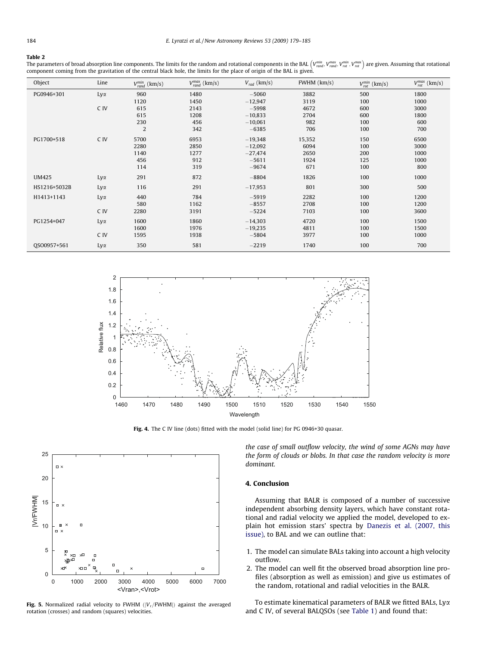#### <span id="page-5-0"></span>Table 2

**The parameters of broad absorption line components. The limits for the random and rotational components in the BAL**  $\left(V_{rand}^{min},V_{rand}^{max},V_{rot}^{max},V_{rot}^{max}\right)$  **are given. Assuming that rotational** component coming from the gravitation of the central black hole, the limits for the place of origin of the BAL is given.

| Object       | Line       | $V_{rand}^{min}$ (km/s) | $V_{rand}^{max}$ (km/s) | $V_{rad}$ (km/s) | $FWHM$ ( $km/s$ ) | $V_{rot}^{min}$ (km/s) | $V_{rot}^{max}$ (km/s) |
|--------------|------------|-------------------------|-------------------------|------------------|-------------------|------------------------|------------------------|
| PG0946+301   | Lyα        | 960                     | 1480                    | $-5060$          | 3882              | 500                    | 1800                   |
|              |            | 1120                    | 1450                    | $-12,947$        | 3119              | 100                    | 1000                   |
|              | C IV       | 615                     | 2143                    | $-5998$          | 4672              | 600                    | 3000                   |
|              |            | 615                     | 1208                    | $-10,833$        | 2704              | 600                    | 1800                   |
|              |            | 230                     | 456                     | $-10,061$        | 982               | 100                    | 600                    |
|              |            | $\overline{2}$          | 342                     | $-6385$          | 706               | 100                    | 700                    |
| PG1700+518   | C IV       | 5700                    | 6953                    | $-19,348$        | 15,352            | 150                    | 6500                   |
|              |            | 2280                    | 2850                    | $-12,092$        | 6094              | 100                    | 3000                   |
|              |            | 1140                    | 1277                    | $-27,474$        | 2650              | 200                    | 1000                   |
|              |            | 456                     | 912                     | $-5611$          | 1924              | 125                    | 1000                   |
|              |            | 114                     | 319                     | $-9674$          | 671               | 100                    | 800                    |
| <b>UM425</b> | $Ly\alpha$ | 291                     | 872                     | $-8804$          | 1826              | 100                    | 1000                   |
| HS1216+5032B | Lyα        | 116                     | 291                     | $-17,953$        | 801               | 300                    | 500                    |
| H1413+1143   | Lyα        | 440                     | 784                     | $-5919$          | 2282              | 100                    | 1200                   |
|              |            | 580                     | 1162                    | $-8557$          | 2708              | 100                    | 1200                   |
|              | C IV       | 2280                    | 3191                    | $-5224$          | 7103              | 100                    | 3600                   |
| PG1254+047   | Lyα        | 1600                    | 1860                    | $-14,303$        | 4720              | 100                    | 1500                   |
|              |            | 1600                    | 1976                    | $-19,235$        | 4811              | 100                    | 1500                   |
|              | C IV       | 1595                    | 1938                    | $-5804$          | 3977              | 100                    | 1000                   |
| QSO0957+561  | $Ly\alpha$ | 350                     | 581                     | $-2219$          | 1740              | 100                    | 700                    |



Fig. 4. The C IV line (dots) fitted with the model (solid line) for PG 0946+30 quasar.



Fig. 5. Normalized radial velocity to FWHM  $(|V_r/FWHM|)$  against the averaged rotation (crosses) and random (squares) velocities.

the case of small outflow velocity, the wind of some AGNs may have the form of clouds or blobs. In that case the random velocity is more dominant.

#### 4. Conclusion

Assuming that BALR is composed of a number of successive independent absorbing density layers, which have constant rotational and radial velocity we applied the model, developed to explain hot emission stars' spectra by [Danezis et al. \(2007, this](#page-6-0) [issue\),](#page-6-0) to BAL and we can outline that:

- 1. The model can simulate BALs taking into account a high velocity outflow.
- 2. The model can well fit the observed broad absorption line profiles (absorption as well as emission) and give us estimates of the random, rotational and radial velocities in the BALR.

To estimate kinematical parameters of BALR we fitted BALs, Lya and C IV, of several BALQSOs (see [Table 1](#page-4-0)) and found that: